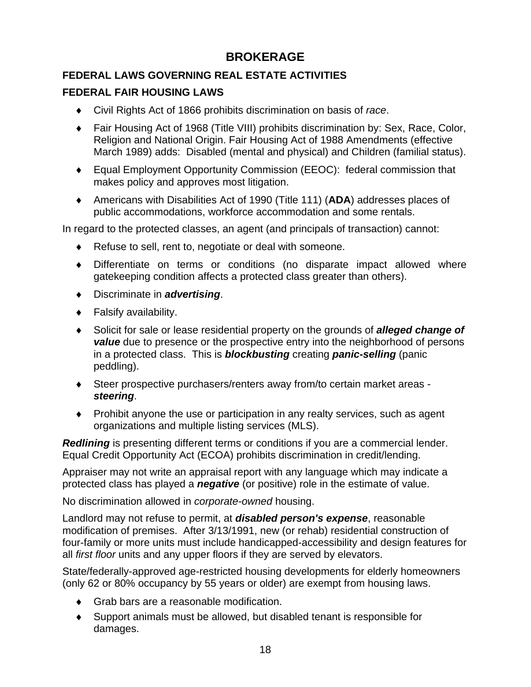# **BROKERAGE**

# **FEDERAL LAWS GOVERNING REAL ESTATE ACTIVITIES**

## **FEDERAL FAIR HOUSING LAWS**

- ♦ Civil Rights Act of 1866 prohibits discrimination on basis of *race*.
- ♦ Fair Housing Act of 1968 (Title VIII) prohibits discrimination by: Sex, Race, Color, Religion and National Origin. Fair Housing Act of 1988 Amendments (effective March 1989) adds: Disabled (mental and physical) and Children (familial status).
- ♦ Equal Employment Opportunity Commission (EEOC): federal commission that makes policy and approves most litigation.
- ♦ Americans with Disabilities Act of 1990 (Title 111) (**ADA**) addresses places of public accommodations, workforce accommodation and some rentals.

In regard to the protected classes, an agent (and principals of transaction) cannot:

- ♦ Refuse to sell, rent to, negotiate or deal with someone.
- ♦ Differentiate on terms or conditions (no disparate impact allowed where gatekeeping condition affects a protected class greater than others).
- ♦ Discriminate in *advertising*.
- ♦ Falsify availability.
- ♦ Solicit for sale or lease residential property on the grounds of *alleged change of value* due to presence or the prospective entry into the neighborhood of persons in a protected class. This is *blockbusting* creating *panic-selling* (panic peddling).
- ♦ Steer prospective purchasers/renters away from/to certain market areas *steering*.
- ♦ Prohibit anyone the use or participation in any realty services, such as agent organizations and multiple listing services (MLS).

*Redlining* is presenting different terms or conditions if you are a commercial lender. Equal Credit Opportunity Act (ECOA) prohibits discrimination in credit/lending.

Appraiser may not write an appraisal report with any language which may indicate a protected class has played a *negative* (or positive) role in the estimate of value.

No discrimination allowed in *corporate-owned* housing.

Landlord may not refuse to permit, at *disabled person's expense*, reasonable modification of premises. After 3/13/1991, new (or rehab) residential construction of four-family or more units must include handicapped-accessibility and design features for all *first floor* units and any upper floors if they are served by elevators.

State/federally-approved age-restricted housing developments for elderly homeowners (only 62 or 80% occupancy by 55 years or older) are exempt from housing laws.

- ♦ Grab bars are a reasonable modification.
- ♦ Support animals must be allowed, but disabled tenant is responsible for damages.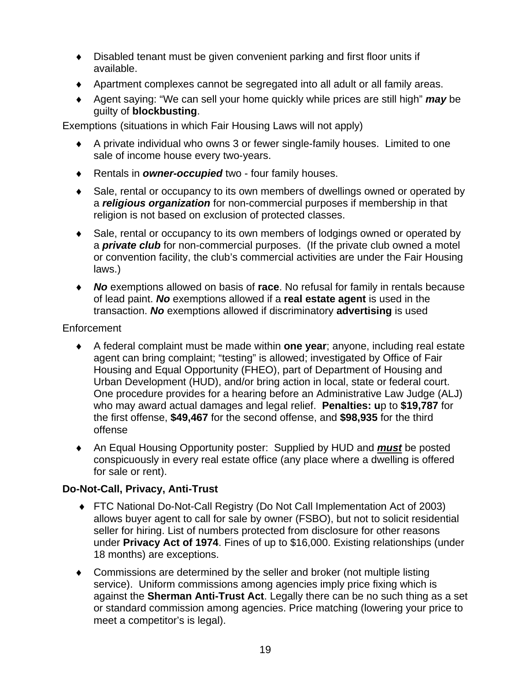- ♦ Disabled tenant must be given convenient parking and first floor units if available.
- ♦ Apartment complexes cannot be segregated into all adult or all family areas.
- ♦ Agent saying: "We can sell your home quickly while prices are still high" *may* be guilty of **blockbusting**.

Exemptions (situations in which Fair Housing Laws will not apply)

- ♦ A private individual who owns 3 or fewer single-family houses. Limited to one sale of income house every two-years.
- ♦ Rentals in *owner-occupied* two four family houses.
- ♦ Sale, rental or occupancy to its own members of dwellings owned or operated by a *religious organization* for non-commercial purposes if membership in that religion is not based on exclusion of protected classes.
- ♦ Sale, rental or occupancy to its own members of lodgings owned or operated by a *private club* for non-commercial purposes. (If the private club owned a motel or convention facility, the club's commercial activities are under the Fair Housing laws.)
- ♦ *No* exemptions allowed on basis of **race**. No refusal for family in rentals because of lead paint. *No* exemptions allowed if a **real estate agent** is used in the transaction. *No* exemptions allowed if discriminatory **advertising** is used

### Enforcement

- ♦ A federal complaint must be made within **one year**; anyone, including real estate agent can bring complaint; "testing" is allowed; investigated by Office of Fair Housing and Equal Opportunity (FHEO), part of Department of Housing and Urban Development (HUD), and/or bring action in local, state or federal court. One procedure provides for a hearing before an Administrative Law Judge (ALJ) who may award actual damages and legal relief. **Penalties: u**p to **\$19,787** for the first offense, **\$49,467** for the second offense, and **\$98,935** for the third offense
- ♦ An Equal Housing Opportunity poster: Supplied by HUD and *must* be posted conspicuously in every real estate office (any place where a dwelling is offered for sale or rent).

## **Do-Not-Call, Privacy, Anti-Trust**

- ♦ FTC National Do-Not-Call Registry (Do Not Call Implementation Act of 2003) allows buyer agent to call for sale by owner (FSBO), but not to solicit residential seller for hiring. List of numbers protected from disclosure for other reasons under **Privacy Act of 1974**. Fines of up to \$16,000. Existing relationships (under 18 months) are exceptions.
- ♦ Commissions are determined by the seller and broker (not multiple listing service). Uniform commissions among agencies imply price fixing which is against the **Sherman Anti-Trust Act**. Legally there can be no such thing as a set or standard commission among agencies. Price matching (lowering your price to meet a competitor's is legal).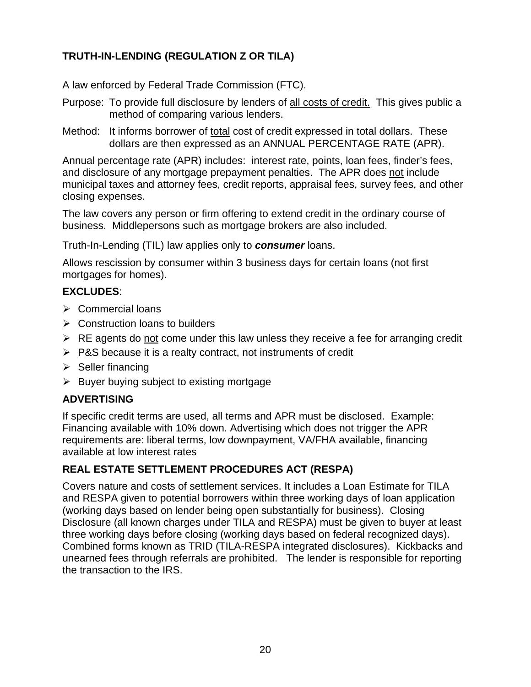# **TRUTH-IN-LENDING (REGULATION Z OR TILA)**

A law enforced by Federal Trade Commission (FTC).

- Purpose: To provide full disclosure by lenders of all costs of credit. This gives public a method of comparing various lenders.
- Method: It informs borrower of total cost of credit expressed in total dollars. These dollars are then expressed as an ANNUAL PERCENTAGE RATE (APR).

Annual percentage rate (APR) includes: interest rate, points, loan fees, finder's fees, and disclosure of any mortgage prepayment penalties. The APR does not include municipal taxes and attorney fees, credit reports, appraisal fees, survey fees, and other closing expenses.

The law covers any person or firm offering to extend credit in the ordinary course of business. Middlepersons such as mortgage brokers are also included.

Truth-In-Lending (TIL) law applies only to *consumer* loans.

Allows rescission by consumer within 3 business days for certain loans (not first mortgages for homes).

### **EXCLUDES**:

- $\triangleright$  Commercial loans
- $\triangleright$  Construction loans to builders
- $\triangleright$  RE agents do not come under this law unless they receive a fee for arranging credit
- $\triangleright$  P&S because it is a realty contract, not instruments of credit
- $\triangleright$  Seller financing
- $\triangleright$  Buyer buying subject to existing mortgage

### **ADVERTISING**

If specific credit terms are used, all terms and APR must be disclosed. Example: Financing available with 10% down. Advertising which does not trigger the APR requirements are: liberal terms, low downpayment, VA/FHA available, financing available at low interest rates

### **REAL ESTATE SETTLEMENT PROCEDURES ACT (RESPA)**

Covers nature and costs of settlement services. It includes a Loan Estimate for TILA and RESPA given to potential borrowers within three working days of loan application (working days based on lender being open substantially for business). Closing Disclosure (all known charges under TILA and RESPA) must be given to buyer at least three working days before closing (working days based on federal recognized days). Combined forms known as TRID (TILA-RESPA integrated disclosures). Kickbacks and unearned fees through referrals are prohibited. The lender is responsible for reporting the transaction to the IRS.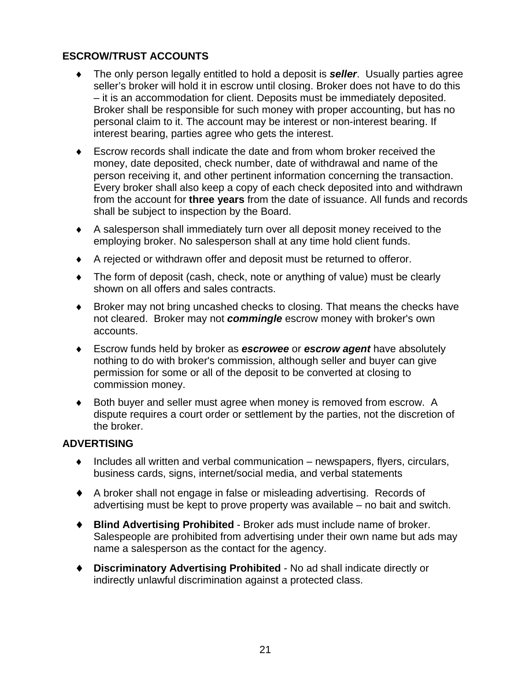## **ESCROW/TRUST ACCOUNTS**

- The only person legally entitled to hold a deposit is **seller**. Usually parties agree seller's broker will hold it in escrow until closing. Broker does not have to do this – it is an accommodation for client. Deposits must be immediately deposited. Broker shall be responsible for such money with proper accounting, but has no personal claim to it. The account may be interest or non-interest bearing. If interest bearing, parties agree who gets the interest.
- ♦ Escrow records shall indicate the date and from whom broker received the money, date deposited, check number, date of withdrawal and name of the person receiving it, and other pertinent information concerning the transaction. Every broker shall also keep a copy of each check deposited into and withdrawn from the account for **three years** from the date of issuance. All funds and records shall be subject to inspection by the Board.
- ♦ A salesperson shall immediately turn over all deposit money received to the employing broker. No salesperson shall at any time hold client funds.
- ♦ A rejected or withdrawn offer and deposit must be returned to offeror.
- ♦ The form of deposit (cash, check, note or anything of value) must be clearly shown on all offers and sales contracts.
- ♦ Broker may not bring uncashed checks to closing. That means the checks have not cleared. Broker may not *commingle* escrow money with broker's own accounts.
- ♦ Escrow funds held by broker as *escrowee* or *escrow agent* have absolutely nothing to do with broker's commission, although seller and buyer can give permission for some or all of the deposit to be converted at closing to commission money.
- ♦ Both buyer and seller must agree when money is removed from escrow. A dispute requires a court order or settlement by the parties, not the discretion of the broker.

### **ADVERTISING**

- $\bullet$  Includes all written and verbal communication newspapers, flyers, circulars, business cards, signs, internet/social media, and verbal statements
- ♦ A broker shall not engage in false or misleading advertising. Records of advertising must be kept to prove property was available – no bait and switch.
- ♦ **Blind Advertising Prohibited** Broker ads must include name of broker. Salespeople are prohibited from advertising under their own name but ads may name a salesperson as the contact for the agency.
- ♦ **Discriminatory Advertising Prohibited** No ad shall indicate directly or indirectly unlawful discrimination against a protected class.